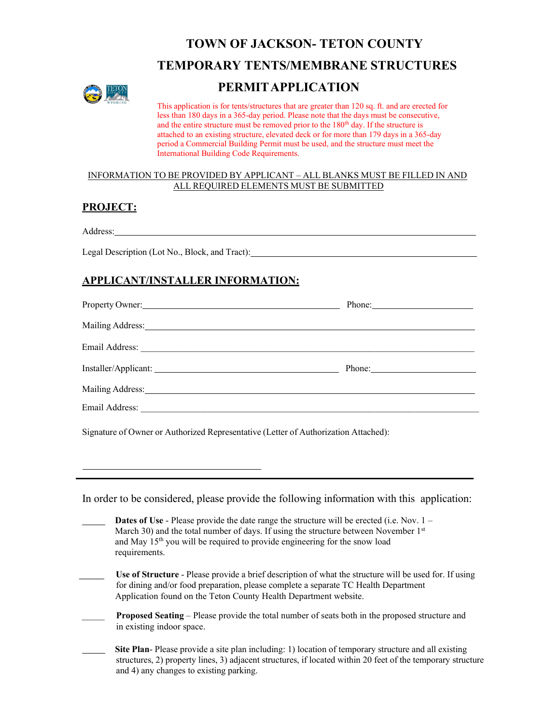# **TOWN OF JACKSON- TETON COUNTY**





# **PERMITAPPLICATION**

This application is for tents/structures that are greater than 120 sq. ft. and are erected for less than 180 days in a 365-day period. Please note that the days must be consecutive, and the entire structure must be removed prior to the 180<sup>th</sup> day. If the structure is attached to an existing structure, elevated deck or for more than 179 days in a 365-day period a Commercial Building Permit must be used, and the structure must meet the International Building Code Requirements.

#### INFORMATION TO BE PROVIDED BY APPLICANT – ALL BLANKS MUST BE FILLED IN AND ALL REQUIRED ELEMENTS MUST BE SUBMITTED

### **PROJECT:**

Address:

Legal Description (Lot No., Block, and Tract): \_\_\_\_\_\_\_\_\_\_\_\_\_\_\_\_\_\_\_\_\_\_\_\_\_\_\_\_\_\_\_\_\_\_

## **APPLICANT/INSTALLER INFORMATION:**

| Property Owner: New York Changes and Section 2014                                                                                                                                                                              |             |
|--------------------------------------------------------------------------------------------------------------------------------------------------------------------------------------------------------------------------------|-------------|
| Mailing Address: National Address: National Address: National Address: National Address: National Address: National Address: National Address: National Address: National Address: National Address: National Address: Nationa |             |
|                                                                                                                                                                                                                                |             |
|                                                                                                                                                                                                                                | Phone: 2008 |
| Mailing Address: National Address:                                                                                                                                                                                             |             |
|                                                                                                                                                                                                                                |             |

Signature of Owner or Authorized Representative (Letter of Authorization Attached):

In order to be considered, please provide the following information with this application:

| <b>Dates of Use</b> - Please provide the date range the structure will be erected (i.e. Nov. $1 -$<br>March 30) and the total number of days. If using the structure between November $1st$<br>and May 15 <sup>th</sup> you will be required to provide engineering for the snow load<br>requirements. |
|--------------------------------------------------------------------------------------------------------------------------------------------------------------------------------------------------------------------------------------------------------------------------------------------------------|
| Use of Structure - Please provide a brief description of what the structure will be used for. If using<br>for dining and/or food preparation, please complete a separate TC Health Department<br>Application found on the Teton County Health Department website.                                      |
| <b>Proposed Seating</b> – Please provide the total number of seats both in the proposed structure and<br>in existing indoor space.                                                                                                                                                                     |
| <b>Site Plan-</b> Please provide a site plan including: 1) location of temporary structure and all existing<br>structures, 2) property lines, 3) adjacent structures, if located within 20 feet of the temporary structure<br>and 4) any changes to existing parking.                                  |